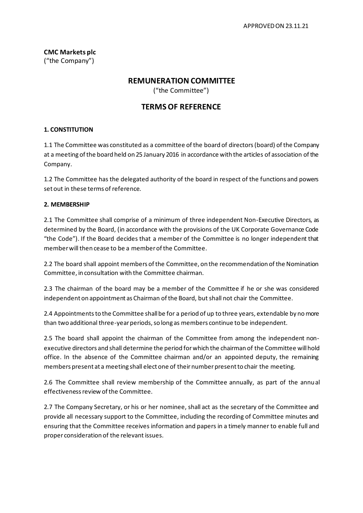**CMC Markets plc** ("the Company")

# **REMUNERATION COMMITTEE**

("the Committee")

# **TERMS OF REFERENCE**

### **1. CONSTITUTION**

1.1 The Committee was constituted as a committee ofthe board of directors(board) ofthe Company at a meeting of the board held on 25 January 2016 in accordance with the articles of association of the Company.

1.2 The Committee has the delegated authority of the board in respect of the functions and powers set out in these terms of reference.

#### **2. MEMBERSHIP**

2.1 The Committee shall comprise of a minimum of three independent Non-Executive Directors, as determined by the Board, (in accordance with the provisions of the UK Corporate Governance Code "the Code"). If the Board decides that a member of the Committee is no longer independent that member will then cease to be a member of the Committee.

2.2 The board shall appoint members of the Committee, on the recommendation of the Nomination Committee, in consultation with the Committee chairman.

2.3 The chairman of the board may be a member of the Committee if he or she was considered independent on appointment as Chairman of the Board, but shall not chair the Committee.

2.4 Appointments to the Committee shall be for a period of up to three years, extendable by no more than two additional three-year periods, so long as members continue to be independent.

2.5 The board shall appoint the chairman of the Committee from among the independent nonexecutive directors and shall determine the period forwhich the chairman of the Committee willhold office. In the absence of the Committee chairman and/or an appointed deputy, the remaining members present at a meeting shall elect one of their number present to chair the meeting.

2.6 The Committee shall review membership of the Committee annually, as part of the annual effectiveness review of the Committee.

2.7 The Company Secretary, or his or her nominee, shall act as the secretary of the Committee and provide all necessary support to the Committee, including the recording of Committee minutes and ensuring that the Committee receives information and papers in a timely manner to enable full and proper consideration of the relevant issues.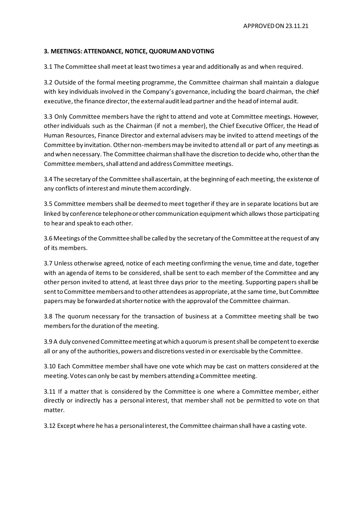### **3. MEETINGS: ATTENDANCE, NOTICE, QUORUM ANDVOTING**

3.1 The Committee shall meet at least two times a year and additionally as and when required.

3.2 Outside of the formal meeting programme, the Committee chairman shall maintain a dialogue with key individuals involved in the Company's governance, including the board chairman, the chief executive, the finance director, the external audit lead partner and the head of internal audit.

3.3 Only Committee members have the right to attend and vote at Committee meetings. However, other individuals such as the Chairman (if not a member), the Chief Executive Officer, the Head of Human Resources, Finance Director and external advisers may be invited to attend meetings of the Committee by invitation. Other non-members may be invited to attend all or part of any meetings as and when necessary. The Committee chairman shall have the discretion to decide who, other than the Committee members, shall attend and address Committee meetings.

3.4 The secretary of the Committee shall ascertain, at the beginning of each meeting, the existence of any conflicts of interest and minute them accordingly.

3.5 Committee members shall be deemed to meet together if they are in separate locations but are linked by conference telephone or other communication equipment which allows those participating to hear and speak to each other.

3.6 Meetings of the Committee shall be called by the secretary of the Committee at the request of any of its members.

3.7 Unless otherwise agreed, notice of each meeting confirming the venue, time and date, together with an agenda of items to be considered, shall be sent to each member of the Committee and any other person invited to attend, at least three days prior to the meeting. Supporting papers shall be sentto Committee membersand to other attendees as appropriate, atthe same time, but Committee papers may be forwarded at shorter notice with the approval of the Committee chairman.

3.8 The quorum necessary for the transaction of business at a Committee meeting shall be two members for the duration of the meeting.

3.9 A duly convened Committeemeeting atwhich aquorumis presentshall be competentto exercise all or any of the authorities, powers and discretions vested in or exercisable by the Committee.

3.10 Each Committee member shall have one vote which may be cast on matters considered at the meeting. Votes can only be cast by members attending a Committee meeting.

3.11 If a matter that is considered by the Committee is one where a Committee member, either directly or indirectly has a personal interest, that member shall not be permitted to vote on that matter.

3.12 Except where he has a personal interest, the Committee chairman shall have a casting vote.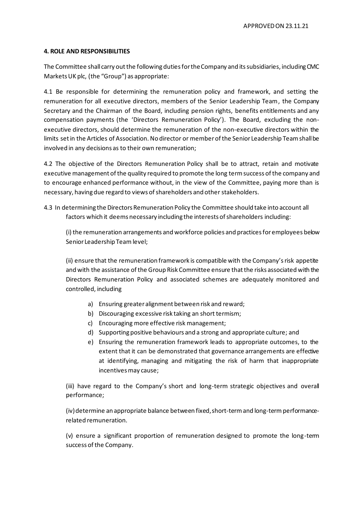### **4. ROLE AND RESPONSIBILITIES**

The Committee shall carry out the following duties for the Company and its subsidiaries, including CMC Markets UK plc, (the "Group") as appropriate:

4.1 Be responsible for determining the remuneration policy and framework, and setting the remuneration for all executive directors, members of the Senior Leadership Team, the Company Secretary and the Chairman of the Board, including pension rights, benefits entitlements and any compensation payments (the 'Directors Remuneration Policy'). The Board, excluding the nonexecutive directors, should determine the remuneration of the non-executive directors within the limits set in the Articles of Association. No director or member of the Senior Leadership Team shall be involved in any decisions as to their own remuneration;

4.2 The objective of the Directors Remuneration Policy shall be to attract, retain and motivate executive management ofthe quality required to promote the long termsuccess ofthe company and to encourage enhanced performance without, in the view of the Committee, paying more than is necessary, having due regard to views of shareholders and other stakeholders.

4.3 In determining the Directors Remuneration Policy the Committee should take into account all factors which it deems necessary including the interests of shareholders including:

(i) the remuneration arrangements and workforce policies and practicesforemployees below Senior Leadership Team level;

(ii) ensure that the remuneration framework is compatible with the Company's risk appetite and with the assistance of the Group Risk Committee ensure that the risks associated with the Directors Remuneration Policy and associated schemes are adequately monitored and controlled, including

- a) Ensuring greater alignment between risk and reward;
- b) Discouraging excessive risk taking an short termism;
- c) Encouraging more effective risk management;
- d) Supporting positive behaviours and a strong and appropriate culture; and
- e) Ensuring the remuneration framework leads to appropriate outcomes, to the extent that it can be demonstrated that governance arrangements are effective at identifying, managing and mitigating the risk of harm that inappropriate incentives may cause;

(iii) have regard to the Company's short and long-term strategic objectives and overall performance;

(iv) determine an appropriate balance between fixed, short-term and long-term performancerelated remuneration.

(v) ensure a significant proportion of remuneration designed to promote the long-term success of the Company.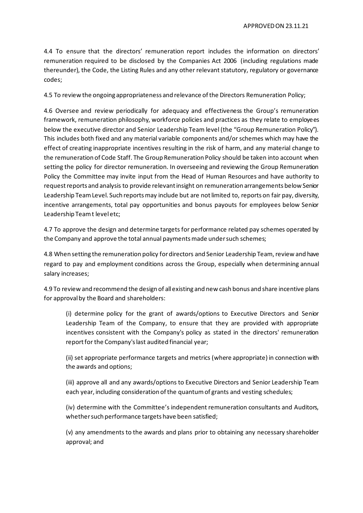4.4 To ensure that the directors' remuneration report includes the information on directors' remuneration required to be disclosed by the Companies Act 2006 (including regulations made thereunder), the Code, the Listing Rules and any other relevant statutory, regulatory or governance codes;

4.5 To review the ongoing appropriateness and relevance of the Directors Remuneration Policy;

4.6 Oversee and review periodically for adequacy and effectiveness the Group's remuneration framework, remuneration philosophy, workforce policies and practices as they relate to employees below the executive director and Senior Leadership Team level (the "Group Remuneration Policy"). This includes both fixed and any material variable components and/or schemes which may have the effect of creating inappropriate incentives resulting in the risk of harm, and any material change to the remuneration of Code Staff. The Group Remuneration Policy should be taken into account when setting the policy for director remuneration. In overseeing and reviewing the Group Remuneration Policy the Committee may invite input from the Head of Human Resources and have authority to request reports and analysis to provide relevant insight on remuneration arrangements below Senior Leadership TeamLevel. Such reportsmay include but are notlimited to, reports on fair pay, diversity, incentive arrangements, total pay opportunities and bonus payouts for employees below Senior Leadership Team t level etc;

4.7 To approve the design and determine targets for performance related pay schemes operated by the Company and approve the total annual payments made under such schemes;

4.8 When setting the remuneration policy for directors and Senior Leadership Team, review and have regard to pay and employment conditions across the Group, especially when determining annual salary increases;

4.9 To review and recommend the design of allexisting and new cash bonus and share incentive plans for approval by the Board and shareholders:

(i) determine policy for the grant of awards/options to Executive Directors and Senior Leadership Team of the Company, to ensure that they are provided with appropriate incentives consistent with the Company's policy as stated in the directors' remuneration report for the Company's last audited financial year;

(ii) set appropriate performance targets and metrics (where appropriate) in connection with the awards and options;

(iii) approve all and any awards/options to Executive Directors and Senior Leadership Team each year, including consideration of the quantum of grants and vesting schedules;

(iv) determine with the Committee's independent remuneration consultants and Auditors, whether such performance targets have been satisfied;

(v) any amendments to the awards and plans prior to obtaining any necessary shareholder approval; and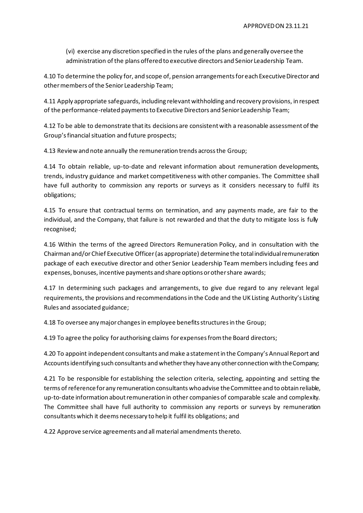(vi) exercise any discretion specified in the rules of the plans and generally oversee the administration of the plans offered to executive directors and Senior Leadership Team.

4.10 To determine the policy for, and scope of, pension arrangementsforeach ExecutiveDirector and other members of the Senior Leadership Team;

4.11 Apply appropriate safeguards, including relevantwithholding and recovery provisions, in respect of the performance-related payments to Executive Directors and Senior Leadership Team;

4.12 To be able to demonstrate that its decisions are consistent with a reasonable assessment of the Group's financial situation and future prospects;

4.13 Review and note annually the remuneration trends across the Group;

4.14 To obtain reliable, up-to-date and relevant information about remuneration developments, trends, industry guidance and market competitiveness with other companies. The Committee shall have full authority to commission any reports or surveys as it considers necessary to fulfil its obligations;

4.15 To ensure that contractual terms on termination, and any payments made, are fair to the individual, and the Company, that failure is not rewarded and that the duty to mitigate loss is fully recognised;

4.16 Within the terms of the agreed Directors Remuneration Policy, and in consultation with the Chairman and/orChief Executive Officer(as appropriate) determinethe totalindividualremuneration package of each executive director and other Senior Leadership Team members including fees and expenses, bonuses, incentive payments and share options or other share awards;

4.17 In determining such packages and arrangements, to give due regard to any relevant legal requirements, the provisions and recommendations in the Code and the UK Listing Authority's Listing Rules and associated guidance;

4.18 To oversee any major changes in employee benefits structures in the Group;

4.19 To agree the policy for authorising claims for expenses from the Board directors;

4.20 To appoint independent consultants and make a statement in the Company's Annual Report and Accounts identifying such consultants and whether they have any other connection with the Company;

4.21 To be responsible for establishing the selection criteria, selecting, appointing and setting the terms ofreferencefor any remuneration consultants whoadvise theCommitteeand to obtain reliable, up-to-date information about remuneration in other companies of comparable scale and complexity. The Committee shall have full authority to commission any reports or surveys by remuneration consultants which it deems necessary to help it fulfil its obligations; and

4.22 Approve service agreements and all material amendments thereto.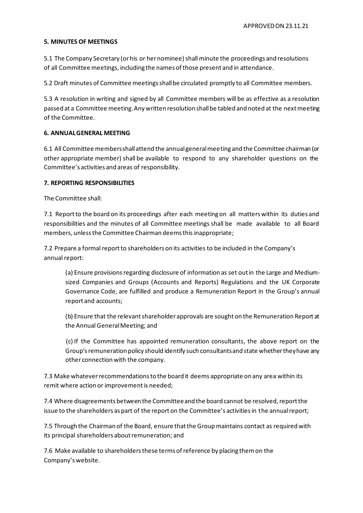### **5. MINUTES OF MEETINGS**

5.1 The Company Secretary (or his or her nominee) shall minute the proceedings and resolutions of all Committee meetings, including the names of those present and in attendance.

5.2 Draft minutes of Committee meetings shall be circulated promptly to all Committee members.

5.3 A resolution in writing and signed by all Committee members will be as effective as a resolution passed at a Committee meeting. Any written resolution shall be tabled and noted at the next meeting of the Committee.

### **6. ANNUAL GENERAL MEETING**

6.1 All Committee members shall attend the annual general meeting and the Committee chairman (or other appropriate member) shall be available to respond to any shareholder questions on the Committee's activities and areas of responsibility.

### **7. REPORTING RESPONSIBILITIES**

The Committee shall:

7.1 Report to the board on its proceedings after each meeting on all matters within its duties and responsibilities and the minutes of all Committee meetings shall be made available to all Board members, unless the Committee Chairman deems this inappropriate;

7.2 Prepare a formal report to shareholders on its activities to be included in the Company's annual report:

(a) Ensure provisions regarding disclosure of information as set out in the Large and Mediumsized Companies and Groups (Accounts and Reports) Regulations and the UK Corporate Governance Code, are fulfilled and produce a Remuneration Report in the Group's annual report and accounts;

(b) Ensure that the relevantshareholder approvals are sought on the Remuneration Report at the Annual General Meeting; and

(c) If the Committee has appointed remuneration consultants, the above report on the Group's remuneration policy should identify such consultants and state whether they have any other connection with the company.

7.3 Make whatever recommendations to the board it deems appropriate on any area within its remit where action or improvement is needed;

7.4 Where disagreements between the Committee and the board cannot be resolved, report the issue to the shareholders as part of the report on the Committee's activities in the annualreport;

7.5 Through the Chairman of the Board, ensure that the Group maintains contact as required with its principal shareholders about remuneration; and

7.6 Make available to shareholders these terms of reference by placing them on the Company's website.